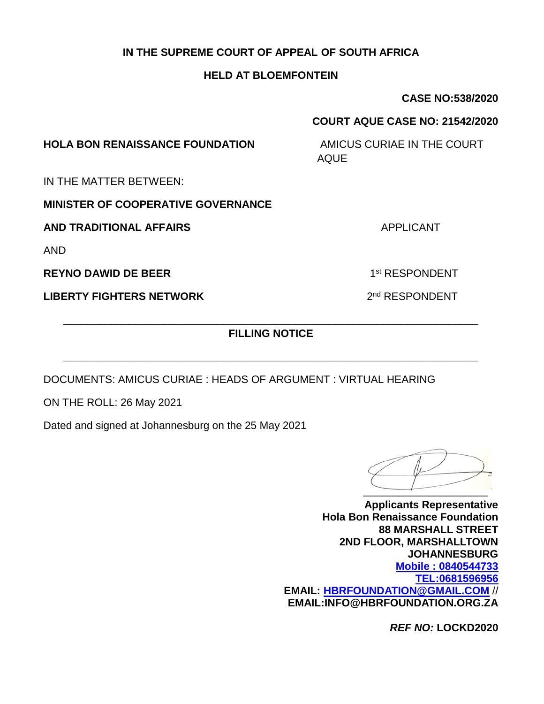#### **IN THE SUPREME COURT OF APPEAL OF SOUTH AFRICA**

#### **HELD AT BLOEMFONTEIN**

**CASE NO:538/2020**

#### **COURT AQUE CASE NO: 21542/2020**

**HOLA BON RENAISSANCE FOUNDATION** AMICUS CURIAE IN THE COURT

AQUE

IN THE MATTER BETWEEN:

**MINISTER OF COOPERATIVE GOVERNANCE** 

**AND TRADITIONAL AFFAIRS** APPLICANT

AND

**REYNO DAWID DE BEER** 

**LIBERTY FIGHTERS NETWORK** 

\_\_\_\_\_\_\_\_\_\_\_\_\_\_\_\_\_\_\_\_\_\_\_\_\_\_\_\_\_\_\_\_\_\_\_\_\_\_\_\_\_\_\_\_\_\_\_\_\_\_\_\_\_\_\_\_\_\_\_\_\_\_\_\_\_\_\_\_\_\_ **FILLING NOTICE** 

**\_\_\_\_\_\_\_\_\_\_\_\_\_\_\_\_\_\_\_\_\_\_\_\_\_\_\_\_\_\_\_\_\_\_\_\_\_\_\_\_\_\_\_\_\_\_\_\_\_\_\_\_\_\_\_\_\_\_\_\_\_\_\_\_\_\_\_\_\_\_**

DOCUMENTS: AMICUS CURIAE : HEADS OF ARGUMENT : VIRTUAL HEARING

ON THE ROLL: 26 May 2021

Dated and signed at Johannesburg on the 25 May 2021

 $\overline{\phantom{a}}$ 

**Applicants Representative Hola Bon Renaissance Foundation 88 MARSHALL STREET 2ND FLOOR, MARSHALLTOWN JOHANNESBURG Mobile : 0840544733 [TEL:0681596956](tel:0681596956) EMAIL: [HBRFOUNDATION@GMAIL.COM](mailto:HBRFOUNDATION@GMAIL.COM)** // **EMAIL:INFO@HBRFOUNDATION.ORG.ZA**

*REF NO:* **LOCKD2020**

1<sup>st</sup> RESPONDENT

2<sup>nd</sup> RESPONDENT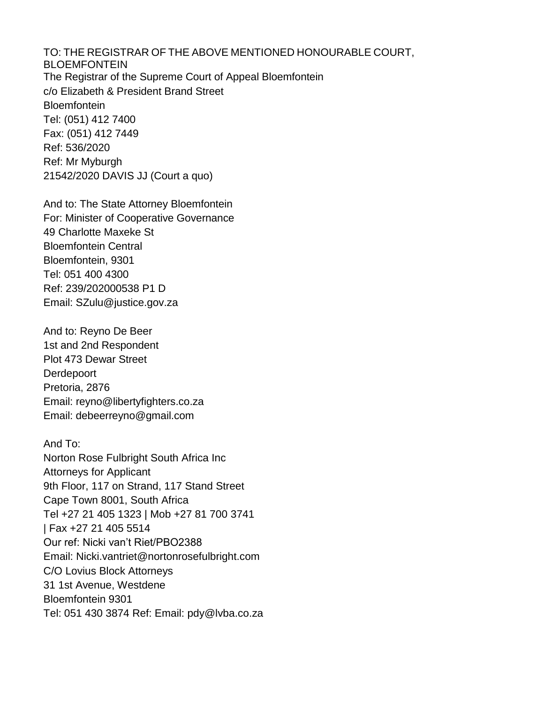TO: THE REGISTRAR OF THE ABOVE MENTIONED HONOURABLE COURT, BLOEMFONTEIN The Registrar of the Supreme Court of Appeal Bloemfontein c/o Elizabeth & President Brand Street **Bloemfontein** Tel: (051) 412 7400 Fax: (051) 412 7449 Ref: 536/2020 Ref: Mr Myburgh 21542/2020 DAVIS JJ (Court a quo)

And to: The State Attorney Bloemfontein For: Minister of Cooperative Governance 49 Charlotte Maxeke St Bloemfontein Central Bloemfontein, 9301 Tel: 051 400 4300 Ref: 239/202000538 P1 D Email: SZulu@justice.gov.za

And to: Reyno De Beer 1st and 2nd Respondent Plot 473 Dewar Street **Derdepoort** Pretoria, 2876 Email: reyno@libertyfighters.co.za Email: debeerreyno@gmail.com

And To: Norton Rose Fulbright South Africa Inc Attorneys for Applicant 9th Floor, 117 on Strand, 117 Stand Street Cape Town 8001, South Africa Tel +27 21 405 1323 | Mob +27 81 700 3741 | Fax +27 21 405 5514 Our ref: Nicki van't Riet/PBO2388 Email: Nicki.vantriet@nortonrosefulbright.com C/O Lovius Block Attorneys 31 1st Avenue, Westdene Bloemfontein 9301 Tel: 051 430 3874 Ref: Email: pdy@lvba.co.za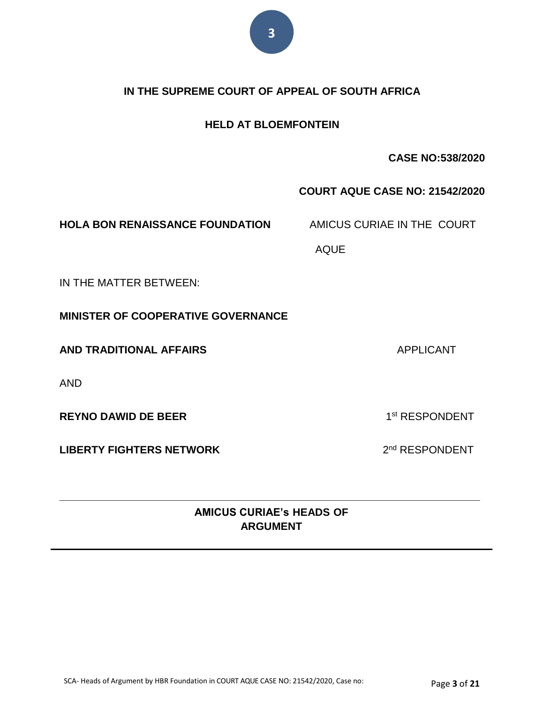

#### **IN THE SUPREME COURT OF APPEAL OF SOUTH AFRICA**

#### **HELD AT BLOEMFONTEIN**

#### **CASE NO:538/2020**

#### **COURT AQUE CASE NO: 21542/2020**

**HOLA BON RENAISSANCE FOUNDATION** AMICUS CURIAE IN THE COURT

AQUE

IN THE MATTER BETWEEN:

**MINISTER OF COOPERATIVE GOVERNANCE** 

**AND TRADITIONAL AFFAIRS** APPLICANT

AND

**REYNO DAWID DE BEER** 

**LIBERTY FIGHTERS NETWORK** 

**AMICUS CURIAE's HEADS OF ARGUMENT**

**\_\_\_\_\_\_\_\_\_\_\_\_\_\_\_\_\_\_\_\_\_\_\_\_\_\_\_\_\_\_\_\_\_\_\_\_\_\_\_\_\_\_\_\_\_\_\_\_\_\_\_\_\_\_\_\_\_\_\_\_\_\_\_\_\_\_\_\_\_\_\_**

1<sup>st</sup> RESPONDENT

2<sup>nd</sup> RESPONDENT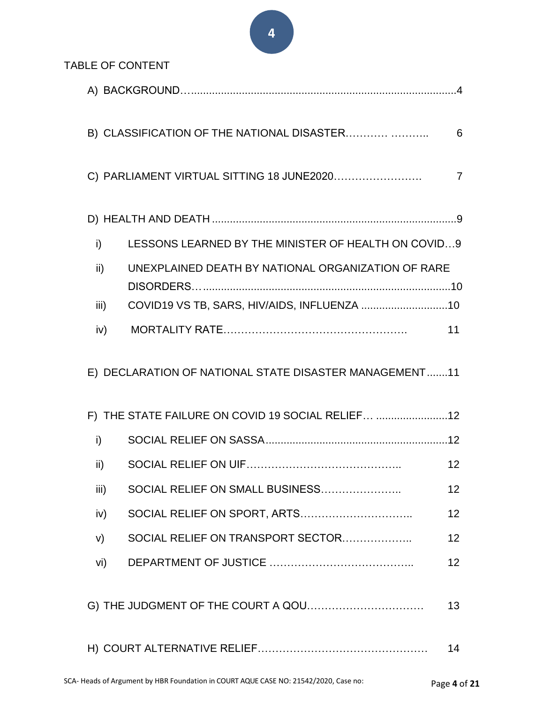**4**

|      | <b>TABLE OF CONTENT</b>                                |                 |
|------|--------------------------------------------------------|-----------------|
|      |                                                        |                 |
|      | B) CLASSIFICATION OF THE NATIONAL DISASTER             | 6               |
|      | C) PARLIAMENT VIRTUAL SITTING 18 JUNE2020              | $\overline{7}$  |
|      |                                                        |                 |
| i)   | LESSONS LEARNED BY THE MINISTER OF HEALTH ON COVID9    |                 |
| ii)  | UNEXPLAINED DEATH BY NATIONAL ORGANIZATION OF RARE     |                 |
| iii) | COVID19 VS TB, SARS, HIV/AIDS, INFLUENZA 10            |                 |
| iv)  |                                                        | 11              |
|      | E) DECLARATION OF NATIONAL STATE DISASTER MANAGEMENT11 |                 |
|      |                                                        |                 |
|      | F) THE STATE FAILURE ON COVID 19 SOCIAL RELIEF 12      |                 |
| i)   |                                                        |                 |
| ii)  |                                                        | 12 <sub>2</sub> |
| iii) | SOCIAL RELIEF ON SMALL BUSINESS                        | 12              |
| iv)  | SOCIAL RELIEF ON SPORT, ARTS                           | 12              |
| V)   | SOCIAL RELIEF ON TRANSPORT SECTOR                      | 12              |
| vi)  |                                                        | 12              |
|      |                                                        | 13              |
|      |                                                        | 14              |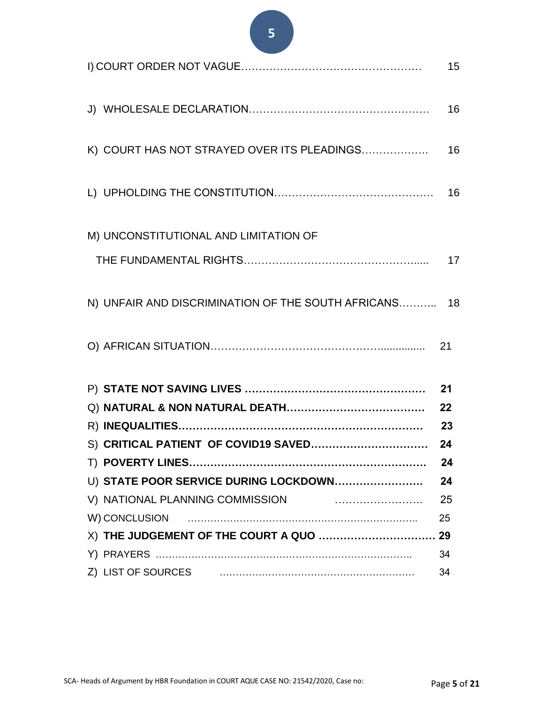## **5**

|                                                       | 15 |
|-------------------------------------------------------|----|
|                                                       | 16 |
| K) COURT HAS NOT STRAYED OVER ITS PLEADINGS           | 16 |
|                                                       |    |
| M) UNCONSTITUTIONAL AND LIMITATION OF                 |    |
|                                                       |    |
| N) UNFAIR AND DISCRIMINATION OF THE SOUTH AFRICANS 18 |    |
|                                                       |    |
|                                                       | 21 |
|                                                       |    |
|                                                       |    |
|                                                       |    |
|                                                       | 24 |
| U) STATE POOR SERVICE DURING LOCKDOWN                 | 24 |
| V) NATIONAL PLANNING COMMISSION                       | 25 |
| W) CONCLUSION                                         | 25 |
| X) THE JUDGEMENT OF THE COURT A QUO  29               |    |
|                                                       | 34 |
| Z) LIST OF SOURCES                                    | 34 |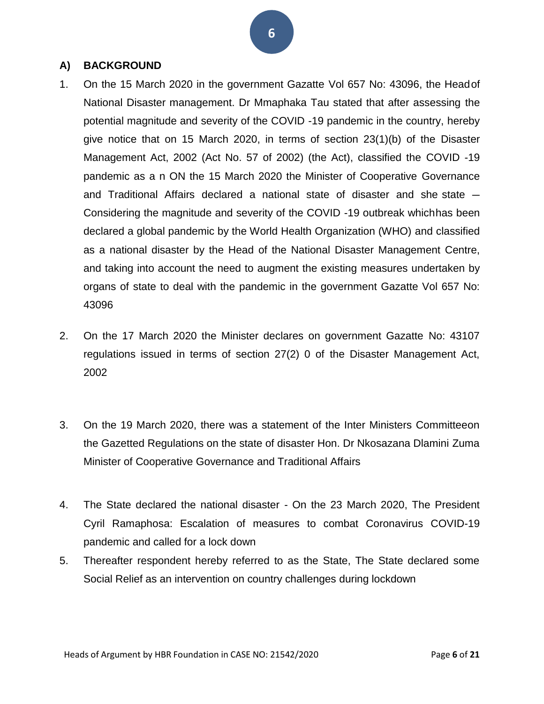#### <span id="page-5-0"></span>**A) BACKGROUND**

- 1. On the 15 March 2020 in the government Gazatte Vol 657 No: 43096, the Headof National Disaster management. Dr Mmaphaka Tau stated that after assessing the potential magnitude and severity of the COVID -19 pandemic in the country, hereby give notice that on 15 March 2020, in terms of section 23(1)(b) of the Disaster Management Act, 2002 (Act No. 57 of 2002) (the Act), classified the COVID -19 pandemic as a n ON the 15 March 2020 the Minister of Cooperative Governance and Traditional Affairs declared a national state of disaster and she state ― Considering the magnitude and severity of the COVID -19 outbreak whichhas been declared a global pandemic by the World Health Organization (WHO) and classified as a national disaster by the Head of the National Disaster Management Centre, and taking into account the need to augment the existing measures undertaken by organs of state to deal with the pandemic in the government Gazatte Vol 657 No: 43096
- 2. On the 17 March 2020 the Minister declares on government Gazatte No: 43107 regulations issued in terms of section 27(2) 0 of the Disaster Management Act, 2002
- 3. On the 19 March 2020, there was a statement of the Inter Ministers Committeeon the Gazetted Regulations on the state of disaster Hon. Dr Nkosazana Dlamini Zuma Minister of Cooperative Governance and Traditional Affairs
- 4. The State declared the national disaster On the 23 March 2020, The President Cyril Ramaphosa: Escalation of measures to combat Coronavirus COVID-19 pandemic and called for a lock down
- 5. Thereafter respondent hereby referred to as the State, The State declared some Social Relief as an intervention on country challenges during lockdown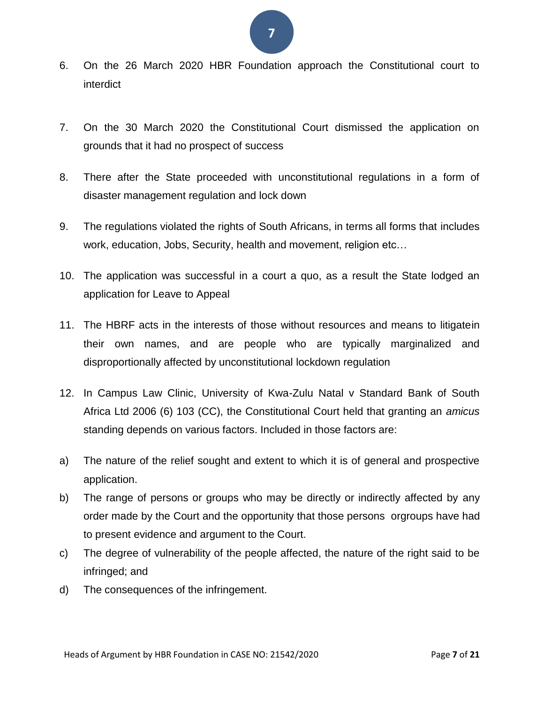# **7**

- 6. On the 26 March 2020 HBR Foundation approach the Constitutional court to interdict
- 7. On the 30 March 2020 the Constitutional Court dismissed the application on grounds that it had no prospect of success
- 8. There after the State proceeded with unconstitutional regulations in a form of disaster management regulation and lock down
- 9. The regulations violated the rights of South Africans, in terms all forms that includes work, education, Jobs, Security, health and movement, religion etc…
- 10. The application was successful in a court a quo, as a result the State lodged an application for Leave to Appeal
- 11. The HBRF acts in the interests of those without resources and means to litigatein their own names, and are people who are typically marginalized and disproportionally affected by unconstitutional lockdown regulation
- 12. In Campus Law Clinic, University of Kwa-Zulu Natal v Standard Bank of South Africa Ltd 2006 (6) 103 (CC), the Constitutional Court held that granting an *amicus*  standing depends on various factors. Included in those factors are:
- a) The nature of the relief sought and extent to which it is of general and prospective application.
- b) The range of persons or groups who may be directly or indirectly affected by any order made by the Court and the opportunity that those persons orgroups have had to present evidence and argument to the Court.
- c) The degree of vulnerability of the people affected, the nature of the right said to be infringed; and
- d) The consequences of the infringement.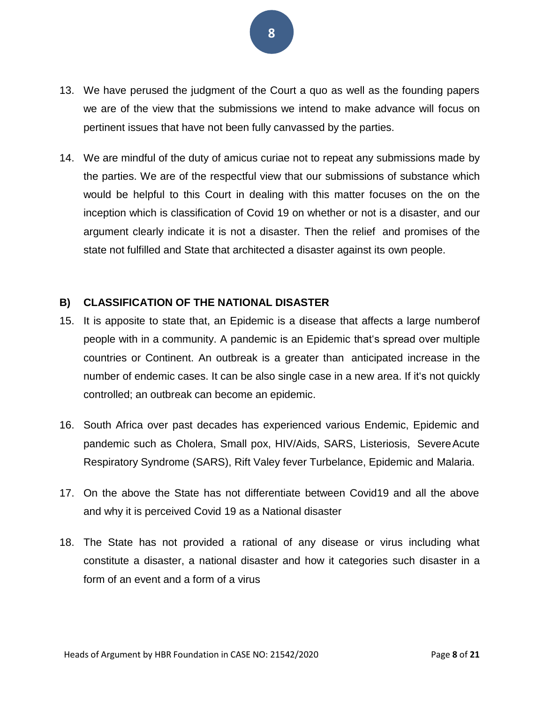- 13. We have perused the judgment of the Court a quo as well as the founding papers we are of the view that the submissions we intend to make advance will focus on pertinent issues that have not been fully canvassed by the parties.
- 14. We are mindful of the duty of amicus curiae not to repeat any submissions made by the parties. We are of the respectful view that our submissions of substance which would be helpful to this Court in dealing with this matter focuses on the on the inception which is classification of Covid 19 on whether or not is a disaster, and our argument clearly indicate it is not a disaster. Then the relief and promises of the state not fulfilled and State that architected a disaster against its own people.

#### <span id="page-7-0"></span>**B) CLASSIFICATION OF THE NATIONAL DISASTER**

- 15. It is apposite to state that, an Epidemic is a disease that affects a large numberof people with in a community. A pandemic is an Epidemic that's spread over multiple countries or Continent. An outbreak is a greater than anticipated increase in the number of endemic cases. It can be also single case in a new area. If it's not quickly controlled; an outbreak can become an epidemic.
- 16. South Africa over past decades has experienced various Endemic, Epidemic and pandemic such as Cholera, Small pox, HIV/Aids, SARS, Listeriosis, SevereAcute Respiratory Syndrome (SARS), Rift Valey fever Turbelance, Epidemic and Malaria.
- 17. On the above the State has not differentiate between Covid19 and all the above and why it is perceived Covid 19 as a National disaster
- 18. The State has not provided a rational of any disease or virus including what constitute a disaster, a national disaster and how it categories such disaster in a form of an event and a form of a virus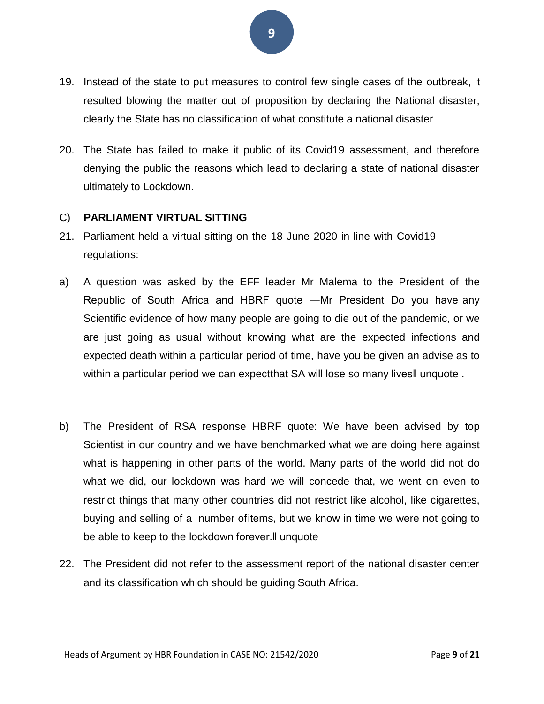- 19. Instead of the state to put measures to control few single cases of the outbreak, it resulted blowing the matter out of proposition by declaring the National disaster, clearly the State has no classification of what constitute a national disaster
- 20. The State has failed to make it public of its Covid19 assessment, and therefore denying the public the reasons which lead to declaring a state of national disaster ultimately to Lockdown.

#### C) **PARLIAMENT VIRTUAL SITTING**

- 21. Parliament held a virtual sitting on the 18 June 2020 in line with Covid19 regulations:
- a) A question was asked by the EFF leader Mr Malema to the President of the Republic of South Africa and HBRF quote ―Mr President Do you have any Scientific evidence of how many people are going to die out of the pandemic, or we are just going as usual without knowing what are the expected infections and expected death within a particular period of time, have you be given an advise as to within a particular period we can expectthat SA will lose so many lives lunguote.
- b) The President of RSA response HBRF quote: We have been advised by top Scientist in our country and we have benchmarked what we are doing here against what is happening in other parts of the world. Many parts of the world did not do what we did, our lockdown was hard we will concede that, we went on even to restrict things that many other countries did not restrict like alcohol, like cigarettes, buying and selling of a number ofitems, but we know in time we were not going to be able to keep to the lockdown forever.‖ unquote
- 22. The President did not refer to the assessment report of the national disaster center and its classification which should be guiding South Africa.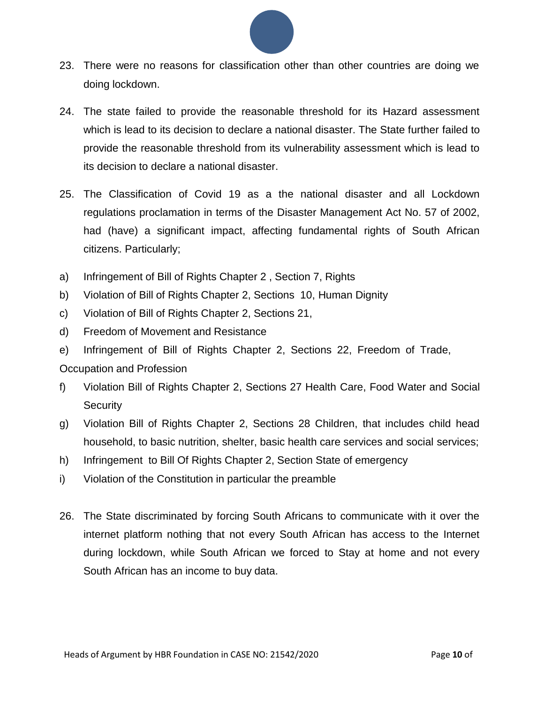

- 23. There were no reasons for classification other than other countries are doing we doing lockdown.
- 24. The state failed to provide the reasonable threshold for its Hazard assessment which is lead to its decision to declare a national disaster. The State further failed to provide the reasonable threshold from its vulnerability assessment which is lead to its decision to declare a national disaster.
- 25. The Classification of Covid 19 as a the national disaster and all Lockdown regulations proclamation in terms of the Disaster Management Act No. 57 of 2002, had (have) a significant impact, affecting fundamental rights of South African citizens. Particularly;
- a) Infringement of Bill of Rights Chapter 2 , Section 7, Rights
- b) Violation of Bill of Rights Chapter 2, Sections 10, Human Dignity
- c) Violation of Bill of Rights Chapter 2, Sections 21,
- d) Freedom of Movement and Resistance
- e) Infringement of Bill of Rights Chapter 2, Sections 22, Freedom of Trade,
- Occupation and Profession
- f) Violation Bill of Rights Chapter 2, Sections 27 Health Care, Food Water and Social **Security**
- g) Violation Bill of Rights Chapter 2, Sections 28 Children, that includes child head household, to basic nutrition, shelter, basic health care services and social services;
- h) Infringement to Bill Of Rights Chapter 2, Section State of emergency
- i) Violation of the Constitution in particular the preamble
- 26. The State discriminated by forcing South Africans to communicate with it over the internet platform nothing that not every South African has access to the Internet during lockdown, while South African we forced to Stay at home and not every South African has an income to buy data.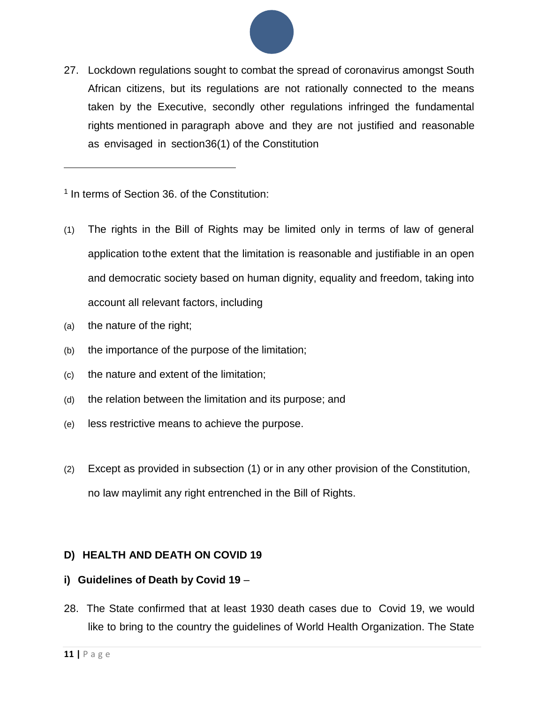

27. Lockdown regulations sought to combat the spread of coronavirus amongst South African citizens, but its regulations are not rationally connected to the means taken by the Executive, secondly other regulations infringed the fundamental rights mentioned in paragraph above and they are not justified and reasonable as envisaged in section36(1) of the Constitution

<sup>1</sup> In terms of Section 36. of the Constitution:

- (1) The rights in the Bill of Rights may be limited only in terms of law of general application tothe extent that the limitation is reasonable and justifiable in an open and democratic society based on human dignity, equality and freedom, taking into account all relevant factors, including
- (a) the nature of the right;
- (b) the importance of the purpose of the limitation;
- (c) the nature and extent of the limitation;
- (d) the relation between the limitation and its purpose; and
- (e) less restrictive means to achieve the purpose.
- (2) Except as provided in subsection (1) or in any other provision of the Constitution, no law maylimit any right entrenched in the Bill of Rights.

#### **D) HEALTH AND DEATH ON COVID 19**

#### **i) Guidelines of Death by Covid 19** –

28. The State confirmed that at least 1930 death cases due to Covid 19, we would like to bring to the country the guidelines of World Health Organization. The State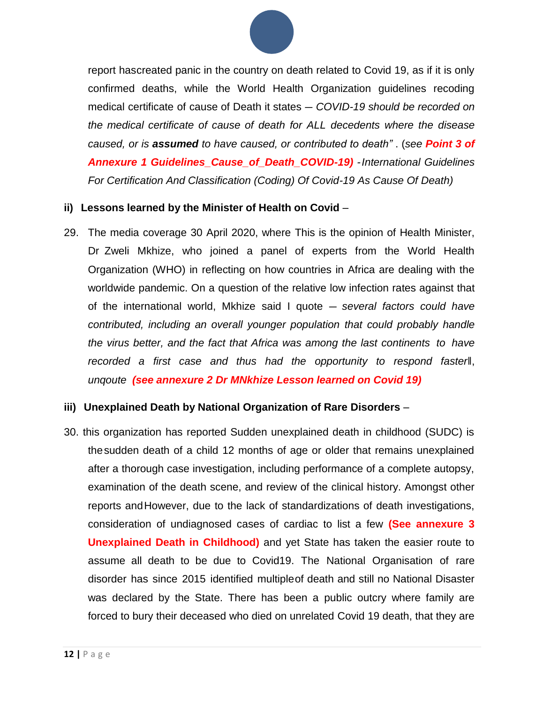

report hascreated panic in the country on death related to Covid 19, as if it is only confirmed deaths, while the World Health Organization guidelines recoding medical certificate of cause of Death it states ― *COVID-19 should be recorded on the medical certificate of cause of death for ALL decedents where the disease caused, or is assumed to have caused, or contributed to death"* . (*see Point 3 of Annexure 1 Guidelines\_Cause\_of\_Death\_COVID-19) -International Guidelines For Certification And Classification (Coding) Of Covid-19 As Cause Of Death)*

#### **ii) Lessons learned by the Minister of Health on Covid** –

29. The media coverage 30 April 2020, where This is the opinion of Health Minister, Dr Zweli Mkhize, who joined a panel of experts from the World Health Organization (WHO) in reflecting on how countries in Africa are dealing with the worldwide pandemic. On a question of the relative low infection rates against that of the international world, Mkhize said I quote ― *several factors could have contributed, including an overall younger population that could probably handle the virus better, and the fact that Africa was among the last continents to have recorded a first case and thus had the opportunity to respond faster*‖, *unqoute (see annexure 2 Dr MNkhize Lesson learned on Covid 19)*

#### **iii) Unexplained Death by National Organization of Rare Disorders** –

30. this organization has reported Sudden unexplained death in childhood (SUDC) is thesudden death of a child 12 months of age or older that remains unexplained after a thorough case investigation, including performance of a complete autopsy, examination of the death scene, and review of the clinical history. Amongst other reports andHowever, due to the lack of standardizations of death investigations, consideration of undiagnosed cases of cardiac to list a few **(See annexure 3 Unexplained Death in Childhood)** and yet State has taken the easier route to assume all death to be due to Covid19. The National Organisation of rare disorder has since 2015 identified multipleof death and still no National Disaster was declared by the State. There has been a public outcry where family are forced to bury their deceased who died on unrelated Covid 19 death, that they are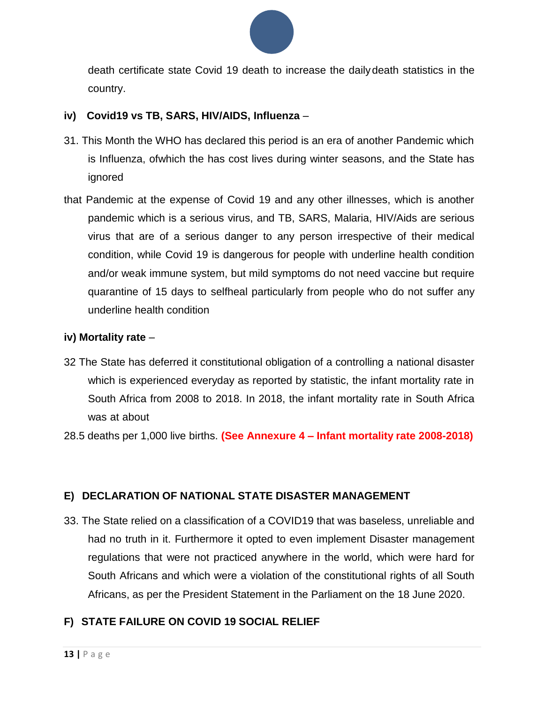

death certificate state Covid 19 death to increase the dailydeath statistics in the country.

#### **iv) Covid19 vs TB, SARS, HIV/AIDS, Influenza** –

- 31. This Month the WHO has declared this period is an era of another Pandemic which is Influenza, ofwhich the has cost lives during winter seasons, and the State has ignored
- that Pandemic at the expense of Covid 19 and any other illnesses, which is another pandemic which is a serious virus, and TB, SARS, Malaria, HIV/Aids are serious virus that are of a serious danger to any person irrespective of their medical condition, while Covid 19 is dangerous for people with underline health condition and/or weak immune system, but mild symptoms do not need vaccine but require quarantine of 15 days to selfheal particularly from people who do not suffer any underline health condition

#### <span id="page-12-0"></span>**iv) Mortality rate** –

- 32 The State has deferred it constitutional obligation of a controlling a national disaster which is experienced everyday as reported by statistic, the infant mortality rate in South Africa from 2008 to 2018. In 2018, the infant mortality rate in South Africa was at about
- 28.5 deaths per 1,000 live births. **(See Annexure 4 – Infant mortality rate 2008-2018)**

#### <span id="page-12-1"></span>**E) DECLARATION OF NATIONAL STATE DISASTER MANAGEMENT**

33. The State relied on a classification of a COVID19 that was baseless, unreliable and had no truth in it. Furthermore it opted to even implement Disaster management regulations that were not practiced anywhere in the world, which were hard for South Africans and which were a violation of the constitutional rights of all South Africans, as per the President Statement in the Parliament on the 18 June 2020.

#### **F) STATE FAILURE ON COVID 19 SOCIAL RELIEF**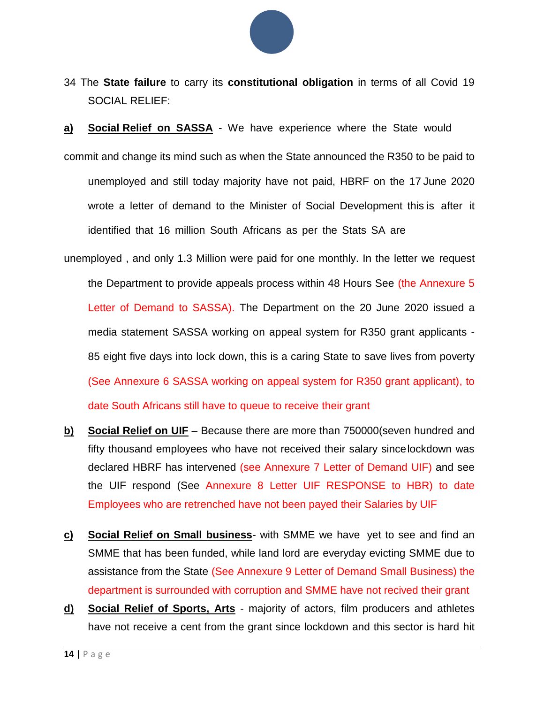

- 34 The **State failure** to carry its **constitutional obligation** in terms of all Covid 19 SOCIAL RELIEF:
- **a) Social Relief on SASSA** We have experience where the State would
- commit and change its mind such as when the State announced the R350 to be paid to unemployed and still today majority have not paid, HBRF on the 17 June 2020 wrote a letter of demand to the Minister of Social Development this is after it identified that 16 million South Africans as per the Stats SA are
- unemployed , and only 1.3 Million were paid for one monthly. In the letter we request the Department to provide appeals process within 48 Hours See (the Annexure 5 Letter of Demand to SASSA). The Department on the 20 June 2020 issued a media statement SASSA working on appeal system for R350 grant applicants - 85 eight five days into lock down, this is a caring State to save lives from poverty (See Annexure 6 SASSA working on appeal system for R350 grant applicant), to date South Africans still have to queue to receive their grant
- **b) Social Relief on UIF** Because there are more than 750000(seven hundred and fifty thousand employees who have not received their salary sincelockdown was declared HBRF has intervened (see Annexure 7 Letter of Demand UIF) and see the UIF respond (See Annexure 8 Letter UIF RESPONSE to HBR) to date Employees who are retrenched have not been payed their Salaries by UIF
- **c) Social Relief on Small business** with SMME we have yet to see and find an SMME that has been funded, while land lord are everyday evicting SMME due to assistance from the State (See Annexure 9 Letter of Demand Small Business) the department is surrounded with corruption and SMME have not recived their grant
- **d) Social Relief of Sports, Arts** majority of actors, film producers and athletes have not receive a cent from the grant since lockdown and this sector is hard hit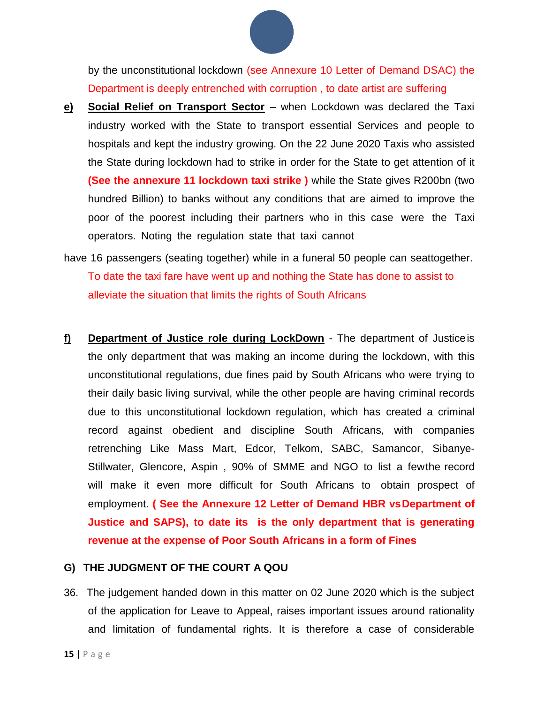

by the unconstitutional lockdown (see Annexure 10 Letter of Demand DSAC) the Department is deeply entrenched with corruption , to date artist are suffering

- **e) Social Relief on Transport Sector** when Lockdown was declared the Taxi industry worked with the State to transport essential Services and people to hospitals and kept the industry growing. On the 22 June 2020 Taxis who assisted the State during lockdown had to strike in order for the State to get attention of it **(See the annexure 11 lockdown taxi strike )** while the State gives R200bn (two hundred Billion) to banks without any conditions that are aimed to improve the poor of the poorest including their partners who in this case were the Taxi operators. Noting the regulation state that taxi cannot
- have 16 passengers (seating together) while in a funeral 50 people can seattogether. To date the taxi fare have went up and nothing the State has done to assist to alleviate the situation that limits the rights of South Africans
- **f) Department of Justice role during LockDown** The department of Justiceis the only department that was making an income during the lockdown, with this unconstitutional regulations, due fines paid by South Africans who were trying to their daily basic living survival, while the other people are having criminal records due to this unconstitutional lockdown regulation, which has created a criminal record against obedient and discipline South Africans, with companies retrenching Like Mass Mart, Edcor, Telkom, SABC, Samancor, Sibanye-Stillwater, Glencore, Aspin , 90% of SMME and NGO to list a fewthe record will make it even more difficult for South Africans to obtain prospect of employment. **( See the Annexure 12 Letter of Demand HBR vsDepartment of Justice and SAPS), to date its is the only department that is generating revenue at the expense of Poor South Africans in a form of Fines**

#### <span id="page-14-0"></span>**G) THE JUDGMENT OF THE COURT A QOU**

36. The judgement handed down in this matter on 02 June 2020 which is the subject of the application for Leave to Appeal, raises important issues around rationality and limitation of fundamental rights. It is therefore a case of considerable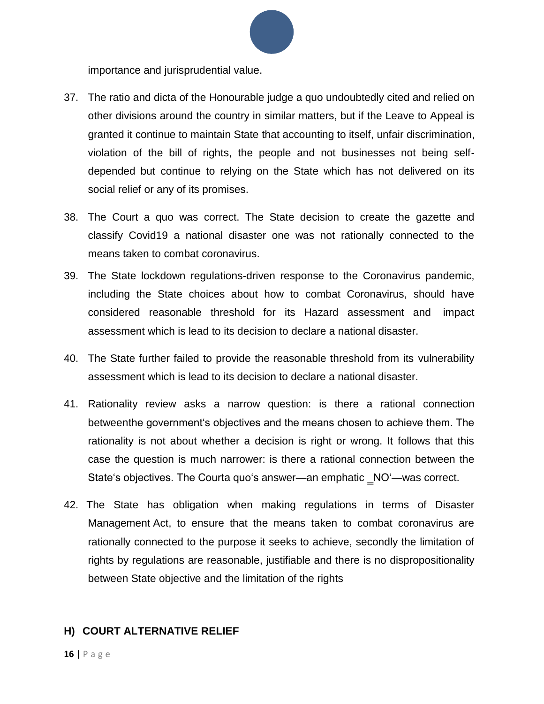importance and jurisprudential value.

- 37. The ratio and dicta of the Honourable judge a quo undoubtedly cited and relied on other divisions around the country in similar matters, but if the Leave to Appeal is granted it continue to maintain State that accounting to itself, unfair discrimination, violation of the bill of rights, the people and not businesses not being selfdepended but continue to relying on the State which has not delivered on its social relief or any of its promises.
- 38. The Court a quo was correct. The State decision to create the gazette and classify Covid19 a national disaster one was not rationally connected to the means taken to combat coronavirus.
- 39. The State lockdown regulations-driven response to the Coronavirus pandemic, including the State choices about how to combat Coronavirus, should have considered reasonable threshold for its Hazard assessment and impact assessment which is lead to its decision to declare a national disaster.
- 40. The State further failed to provide the reasonable threshold from its vulnerability assessment which is lead to its decision to declare a national disaster.
- 41. Rationality review asks a narrow question: is there a rational connection betweenthe government's objectives and the means chosen to achieve them. The rationality is not about whether a decision is right or wrong. It follows that this case the question is much narrower: is there a rational connection between the State's objectives. The Courta quo's answer—an emphatic \_NO'—was correct.
- 42. The State has obligation when making regulations in terms of Disaster Management Act, to ensure that the means taken to combat coronavirus are rationally connected to the purpose it seeks to achieve, secondly the limitation of rights by regulations are reasonable, justifiable and there is no dispropositionality between State objective and the limitation of the rights

#### <span id="page-15-0"></span>**H) COURT ALTERNATIVE RELIEF**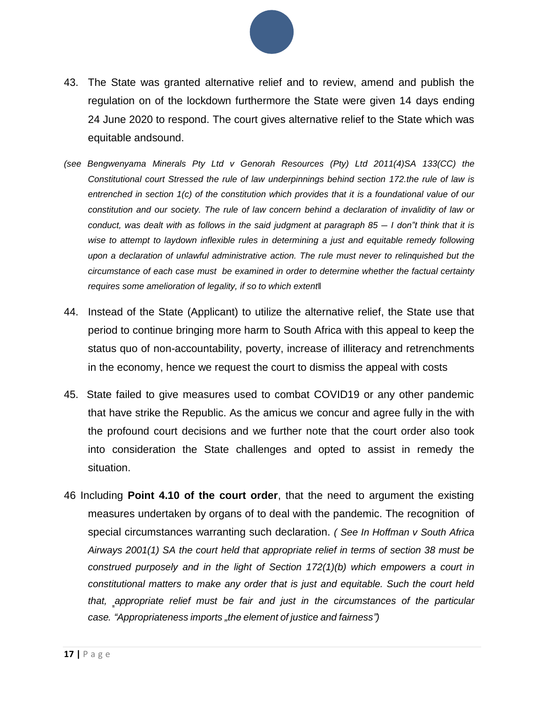

- 43. The State was granted alternative relief and to review, amend and publish the regulation on of the lockdown furthermore the State were given 14 days ending 24 June 2020 to respond. The court gives alternative relief to the State which was equitable andsound.
- *(see Bengwenyama Minerals Pty Ltd v Genorah Resources (Pty) Ltd 2011(4)SA 133(CC) the Constitutional court Stressed the rule of law underpinnings behind section 172.the rule of law is entrenched in section 1(c) of the constitution which provides that it is a foundational value of our constitution and our society. The rule of law concern behind a declaration of invalidity of law or conduct, was dealt with as follows in the said judgment at paragraph 85 ― I don"t think that it is wise to attempt to laydown inflexible rules in determining a just and equitable remedy following upon a declaration of unlawful administrative action. The rule must never to relinquished but the circumstance of each case must be examined in order to determine whether the factual certainty requires some amelioration of legality, if so to which extent*‖
- 44. Instead of the State (Applicant) to utilize the alternative relief, the State use that period to continue bringing more harm to South Africa with this appeal to keep the status quo of non-accountability, poverty, increase of illiteracy and retrenchments in the economy, hence we request the court to dismiss the appeal with costs
- 45. State failed to give measures used to combat COVID19 or any other pandemic that have strike the Republic. As the amicus we concur and agree fully in the with the profound court decisions and we further note that the court order also took into consideration the State challenges and opted to assist in remedy the situation.
- 46 Including **Point 4.10 of the court order**, that the need to argument the existing measures undertaken by organs of to deal with the pandemic. The recognition of special circumstances warranting such declaration. *( See In Hoffman v South Africa Airways 2001(1) SA the court held that appropriate relief in terms of section 38 must be construed purposely and in the light of Section 172(1)(b) which empowers a court in constitutional matters to make any order that is just and equitable. Such the court held that, ‗appropriate relief must be fair and just in the circumstances of the particular case. "Appropriateness imports "the element of justice and fairness")*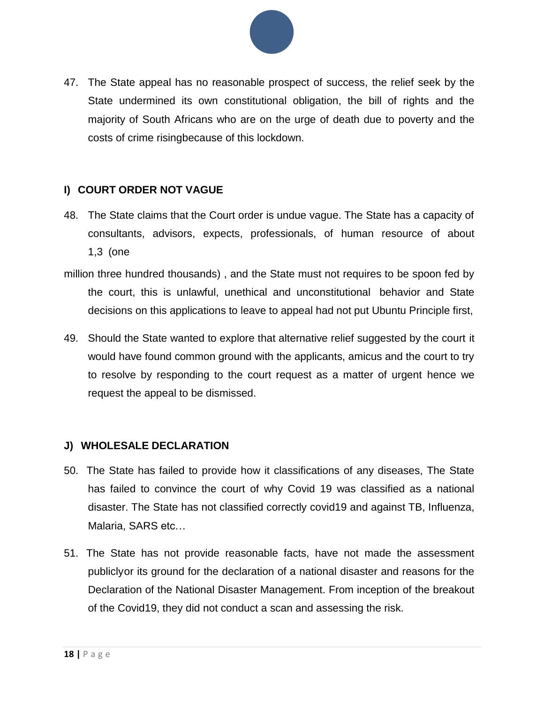

47. The State appeal has no reasonable prospect of success, the relief seek by the State undermined its own constitutional obligation, the bill of rights and the majority of South Africans who are on the urge of death due to poverty and the costs of crime risingbecause of this lockdown.

#### <span id="page-17-0"></span>**I) COURT ORDER NOT VAGUE**

- 48. The State claims that the Court order is undue vague. The State has a capacity of consultants, advisors, expects, professionals, of human resource of about 1,3 (one
- million three hundred thousands) , and the State must not requires to be spoon fed by the court, this is unlawful, unethical and unconstitutional behavior and State decisions on this applications to leave to appeal had not put Ubuntu Principle first,
- 49. Should the State wanted to explore that alternative relief suggested by the court it would have found common ground with the applicants, amicus and the court to try to resolve by responding to the court request as a matter of urgent hence we request the appeal to be dismissed.

#### <span id="page-17-1"></span>**J) WHOLESALE DECLARATION**

- 50. The State has failed to provide how it classifications of any diseases, The State has failed to convince the court of why Covid 19 was classified as a national disaster. The State has not classified correctly covid19 and against TB, Influenza, Malaria, SARS etc…
- 51. The State has not provide reasonable facts, have not made the assessment publiclyor its ground for the declaration of a national disaster and reasons for the Declaration of the National Disaster Management. From inception of the breakout of the Covid19, they did not conduct a scan and assessing the risk.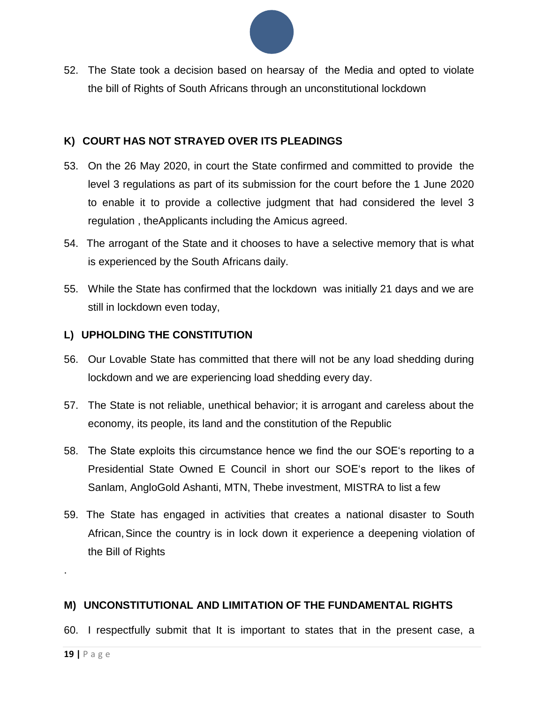

52. The State took a decision based on hearsay of the Media and opted to violate the bill of Rights of South Africans through an unconstitutional lockdown

#### <span id="page-18-0"></span>**K) COURT HAS NOT STRAYED OVER ITS PLEADINGS**

- 53. On the 26 May 2020, in court the State confirmed and committed to provide the level 3 regulations as part of its submission for the court before the 1 June 2020 to enable it to provide a collective judgment that had considered the level 3 regulation , theApplicants including the Amicus agreed.
- 54. The arrogant of the State and it chooses to have a selective memory that is what is experienced by the South Africans daily.
- 55. While the State has confirmed that the lockdown was initially 21 days and we are still in lockdown even today,

#### <span id="page-18-1"></span>**L) UPHOLDING THE CONSTITUTION**

- 56. Our Lovable State has committed that there will not be any load shedding during lockdown and we are experiencing load shedding every day.
- 57. The State is not reliable, unethical behavior; it is arrogant and careless about the economy, its people, its land and the constitution of the Republic
- 58. The State exploits this circumstance hence we find the our SOE's reporting to a Presidential State Owned E Council in short our SOE's report to the likes of Sanlam, AngloGold Ashanti, MTN, Thebe investment, MISTRA to list a few
- 59. The State has engaged in activities that creates a national disaster to South African,Since the country is in lock down it experience a deepening violation of the Bill of Rights

#### **M) UNCONSTITUTIONAL AND LIMITATION OF THE FUNDAMENTAL RIGHTS**

60. I respectfully submit that It is important to states that in the present case, a

.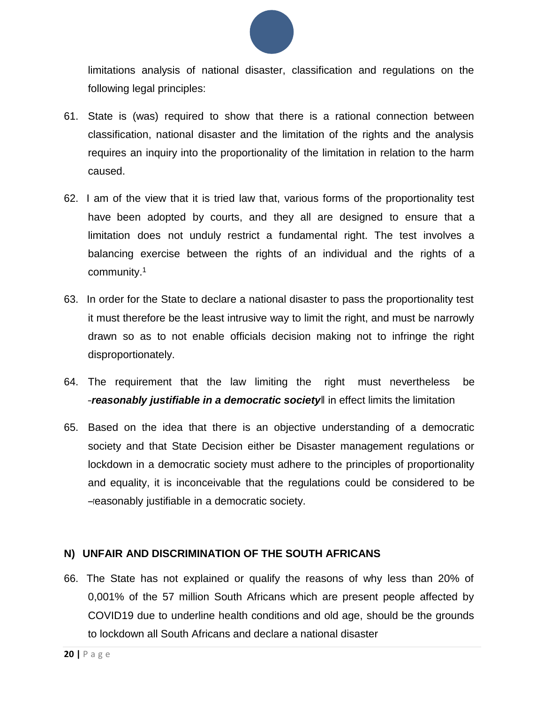

limitations analysis of national disaster, classification and regulations on the following legal principles:

- 61. State is (was) required to show that there is a rational connection between classification, national disaster and the limitation of the rights and the analysis requires an inquiry into the proportionality of the limitation in relation to the harm caused.
- 62. I am of the view that it is tried law that, various forms of the proportionality test have been adopted by courts, and they all are designed to ensure that a limitation does not unduly restrict a fundamental right. The test involves a balancing exercise between the rights of an individual and the rights of a community.<sup>1</sup>
- 63. In order for the State to declare a national disaster to pass the proportionality test it must therefore be the least intrusive way to limit the right, and must be narrowly drawn so as to not enable officials decision making not to infringe the right disproportionately.
- 64. The requirement that the law limiting the right must nevertheless be ―*reasonably justifiable in a democratic society*‖ in effect limits the limitation
- 65. Based on the idea that there is an objective understanding of a democratic society and that State Decision either be Disaster management regulations or lockdown in a democratic society must adhere to the principles of proportionality and equality, it is inconceivable that the regulations could be considered to be ―reasonably justifiable in a democratic society.

#### <span id="page-19-0"></span>**N) UNFAIR AND DISCRIMINATION OF THE SOUTH AFRICANS**

66. The State has not explained or qualify the reasons of why less than 20% of 0,001% of the 57 million South Africans which are present people affected by COVID19 due to underline health conditions and old age, should be the grounds to lockdown all South Africans and declare a national disaster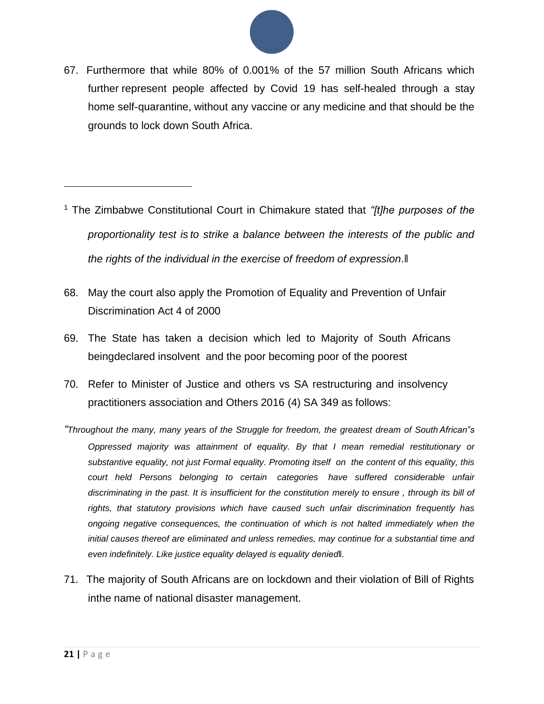

67. Furthermore that while 80% of 0.001% of the 57 million South Africans which further represent people affected by Covid 19 has self-healed through a stay home self-quarantine, without any vaccine or any medicine and that should be the grounds to lock down South Africa.

- <sup>1</sup> The Zimbabwe Constitutional Court in Chimakure stated that *"[t]he purposes of the proportionality test is to strike a balance between the interests of the public and the rights of the individual in the exercise of freedom of expression*.‖
- 68. May the court also apply the Promotion of Equality and Prevention of Unfair Discrimination Act 4 of 2000
- 69. The State has taken a decision which led to Majority of South Africans beingdeclared insolvent and the poor becoming poor of the poorest
- 70. Refer to Minister of Justice and others vs SA restructuring and insolvency practitioners association and Others 2016 (4) SA 349 as follows:
- *"Throughout the many, many years of the Struggle for freedom, the greatest dream of SouthAfrican"s Oppressed majority was attainment of equality. By that I mean remedial restitutionary or substantive equality, not just Formal equality. Promoting itself on the content of this equality, this court held Persons belonging to certain categories have suffered considerable unfair discriminating in the past. It is insufficient for the constitution merely to ensure , through its bill of rights, that statutory provisions which have caused such unfair discrimination frequently has ongoing negative consequences, the continuation of which is not halted immediately when the initial causes thereof are eliminated and unless remedies, may continue for a substantial time and even indefinitely. Like justice equality delayed is equality denied‖.*
- <span id="page-20-0"></span>71. The majority of South Africans are on lockdown and their violation of Bill of Rights inthe name of national disaster management.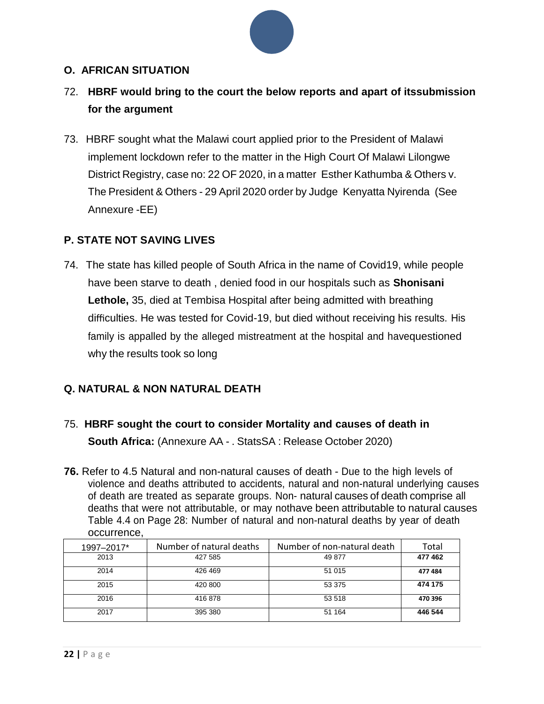#### **O. AFRICAN SITUATION**

- 72. **HBRF would bring to the court the below reports and apart of itssubmission for the argument**
- 73. HBRF sought what the Malawi court applied prior to the President of Malawi implement lockdown refer to the matter in the High Court Of Malawi Lilongwe District Registry, case no: 22 OF 2020, in a matter Esther Kathumba & Others v. The President & Others - 29 April 2020 order by Judge Kenyatta Nyirenda (See Annexure -EE)

#### **P. STATE NOT SAVING LIVES**

74. The state has killed people of South Africa in the name of Covid19, while people have been starve to death , denied food in our hospitals such as **Shonisani Lethole,** 35, died at Tembisa Hospital after being admitted with breathing difficulties. He was tested for Covid-19, but died without receiving his results. His family is appalled by the alleged mistreatment at the hospital and havequestioned why the results took so long

#### **Q. NATURAL & NON NATURAL DEATH**

- 75. **HBRF sought the court to consider Mortality and causes of death in South Africa:** (Annexure AA - . StatsSA : Release October 2020)
- **76.** Refer to 4.5 Natural and non-natural causes of death Due to the high levels of violence and deaths attributed to accidents, natural and non-natural underlying causes of death are treated as separate groups. Non- natural causes of death comprise all deaths that were not attributable, or may nothave been attributable to natural causes Table 4.4 on Page 28: Number of natural and non-natural deaths by year of death occurrence,

| 1997-2017* | Number of natural deaths | Number of non-natural death | Total   |
|------------|--------------------------|-----------------------------|---------|
| 2013       | 427 585                  | 49 877                      | 477 462 |
| 2014       | 426 469                  | 51 015                      | 477484  |
| 2015       | 420 800                  | 53 375                      | 474 175 |
| 2016       | 416878                   | 53 518                      | 470 396 |
| 2017       | 395 380                  | 51 164                      | 446 544 |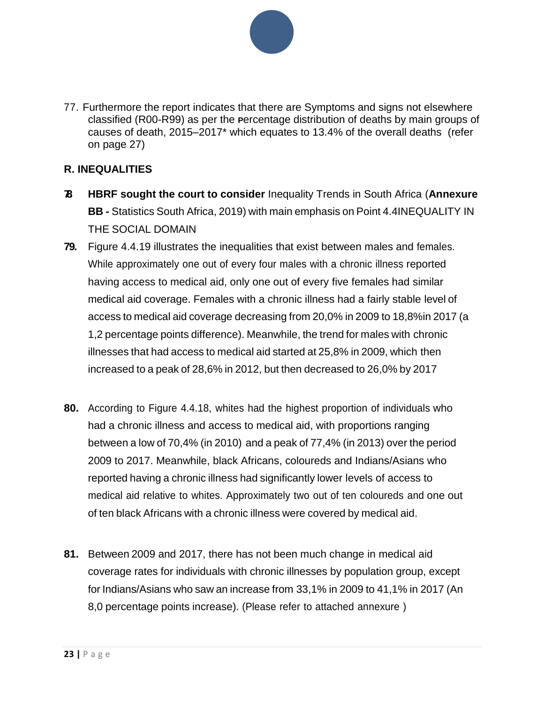

77. Furthermore the report indicates that there are Symptoms and signs not elsewhere classified (R00-R99) as per the **P**ercentage distribution of deaths by main groups of causes of death, 2015–2017\* which equates to 13.4% of the overall deaths (refer on page 27)

#### **R. INEQUALITIES**

- **78. HBRF sought the court to consider** Inequality Trends in South Africa (**Annexure BB -** Statistics South Africa, 2019) with main emphasis on Point 4.4 INEQUALITY IN THE SOCIAL DOMAIN
- **79.** Figure 4.4.19 illustrates the inequalities that exist between males and females. While approximately one out of every four males with a chronic illness reported having access to medical aid, only one out of every five females had similar medical aid coverage. Females with a chronic illness had a fairly stable level of access to medical aid coverage decreasing from 20,0% in 2009 to 18,8%in 2017 (a 1,2 percentage points difference). Meanwhile, the trend for males with chronic illnesses that had access to medical aid started at 25,8% in 2009, which then increased to a peak of 28,6% in 2012, but then decreased to 26,0% by 2017
- **80.** According to Figure 4.4.18, whites had the highest proportion of individuals who had a chronic illness and access to medical aid, with proportions ranging between a low of 70,4% (in 2010) and a peak of 77,4% (in 2013) over the period 2009 to 2017. Meanwhile, black Africans, coloureds and Indians/Asians who reported having a chronic illness had significantly lower levels of access to medical aid relative to whites. Approximately two out of ten coloureds and one out of ten black Africans with a chronic illness were covered by medical aid.
- **81.** Between 2009 and 2017, there has not been much change in medical aid coverage rates for individuals with chronic illnesses by population group, except for Indians/Asians who saw an increase from 33,1% in 2009 to 41,1% in 2017 (An 8,0 percentage points increase). (Please refer to attached annexure )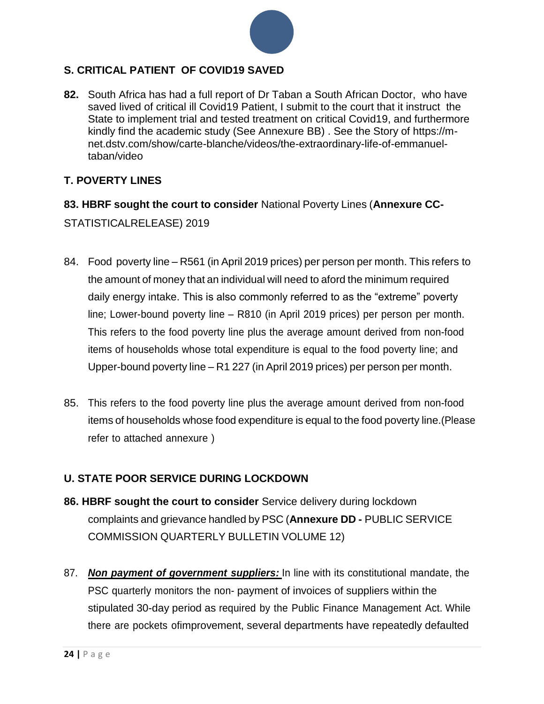

#### **S. CRITICAL PATIENT OF COVID19 SAVED**

**82.** South Africa has had a full report of Dr Taban a South African Doctor, who have saved lived of critical ill Covid19 Patient, I submit to the court that it instruct the State to implement trial and tested treatment on critical Covid19, and furthermore kindly find the academic study (See Annexure BB) . See the Story of https://mnet.dstv.com/show/carte-blanche/videos/the-extraordinary-life-of-emmanueltaban/video

#### **T. POVERTY LINES**

#### **83. HBRF sought the court to consider** National Poverty Lines (**Annexure CC-**

STATISTICALRELEASE) 2019

- 84. Food poverty line R561 (in April 2019 prices) per person per month. This refers to the amount of money that an individual will need to aford the minimum required daily energy intake. This is also commonly referred to as the "extreme" poverty line; Lower-bound poverty line – R810 (in April 2019 prices) per person per month. This refers to the food poverty line plus the average amount derived from non-food items of households whose total expenditure is equal to the food poverty line; and Upper-bound poverty line – R1 227 (in April 2019 prices) per person per month.
- 85. This refers to the food poverty line plus the average amount derived from non-food items of households whose food expenditure is equal to the food poverty line.(Please refer to attached annexure )

#### **U. STATE POOR SERVICE DURING LOCKDOWN**

- **86. HBRF sought the court to consider** Service delivery during lockdown complaints and grievance handled by PSC (**Annexure DD -** PUBLIC SERVICE COMMISSION QUARTERLY BULLETIN VOLUME 12)
- 87. *Non payment of government suppliers:* In line with its constitutional mandate, the PSC quarterly monitors the non- payment of invoices of suppliers within the stipulated 30-day period as required by the Public Finance Management Act. While there are pockets ofimprovement, several departments have repeatedly defaulted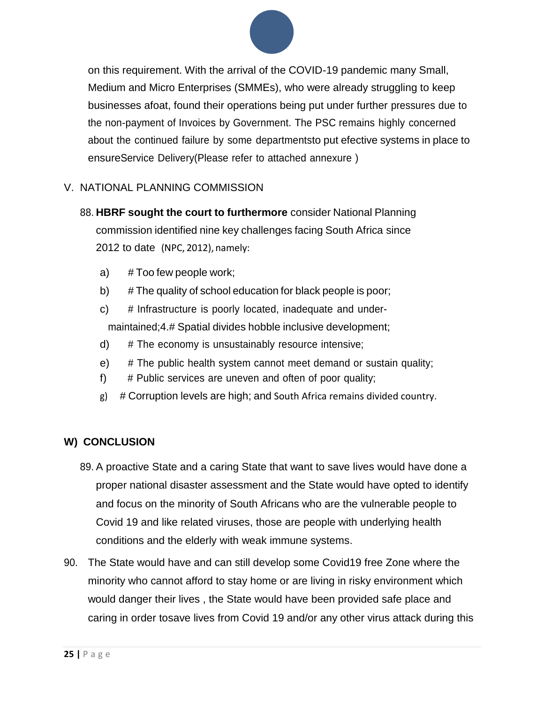

on this requirement. With the arrival of the COVID-19 pandemic many Small, Medium and Micro Enterprises (SMMEs), who were already struggling to keep businesses afoat, found their operations being put under further pressures due to the non-payment of Invoices by Government. The PSC remains highly concerned about the continued failure by some departmentsto put efective systems in place to ensureService Delivery(Please refer to attached annexure )

#### V. NATIONAL PLANNING COMMISSION

- 88. **HBRF sought the court to furthermore** consider National Planning commission identified nine key challenges facing South Africa since 2012 to date (NPC, 2012), namely:
	- a) # Too few people work;
	- b) # The quality of school education for black people is poor;
	- c) # Infrastructure is poorly located, inadequate and undermaintained;4.# Spatial divides hobble inclusive development;
	- d) # The economy is unsustainably resource intensive;
	- e) # The public health system cannot meet demand or sustain quality;
	- f) # Public services are uneven and often of poor quality;
	- g) # Corruption levels are high; and South Africa remains divided country.

#### **W) CONCLUSION**

- 89. A proactive State and a caring State that want to save lives would have done a proper national disaster assessment and the State would have opted to identify and focus on the minority of South Africans who are the vulnerable people to Covid 19 and like related viruses, those are people with underlying health conditions and the elderly with weak immune systems.
- 90. The State would have and can still develop some Covid19 free Zone where the minority who cannot afford to stay home or are living in risky environment which would danger their lives , the State would have been provided safe place and caring in order tosave lives from Covid 19 and/or any other virus attack during this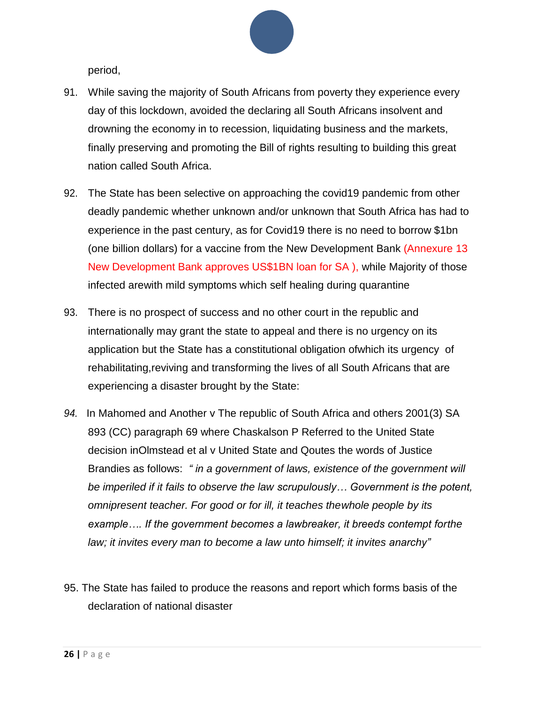

period,

- 91. While saving the majority of South Africans from poverty they experience every day of this lockdown, avoided the declaring all South Africans insolvent and drowning the economy in to recession, liquidating business and the markets, finally preserving and promoting the Bill of rights resulting to building this great nation called South Africa.
- 92. The State has been selective on approaching the covid19 pandemic from other deadly pandemic whether unknown and/or unknown that South Africa has had to experience in the past century, as for Covid19 there is no need to borrow \$1bn (one billion dollars) for a vaccine from the New Development Bank (Annexure 13 New Development Bank approves US\$1BN loan for SA ), while Majority of those infected arewith mild symptoms which self healing during quarantine
- 93. There is no prospect of success and no other court in the republic and internationally may grant the state to appeal and there is no urgency on its application but the State has a constitutional obligation ofwhich its urgency of rehabilitating,reviving and transforming the lives of all South Africans that are experiencing a disaster brought by the State:
- *94.* In Mahomed and Another v The republic of South Africa and others 2001(3) SA 893 (CC) paragraph 69 where Chaskalson P Referred to the United State decision inOlmstead et al v United State and Qoutes the words of Justice Brandies as follows: *" in a government of laws, existence of the government will be imperiled if it fails to observe the law scrupulously… Government is the potent, omnipresent teacher. For good or for ill, it teaches thewhole people by its example…. If the government becomes a lawbreaker, it breeds contempt forthe law; it invites every man to become a law unto himself; it invites anarchy"*
- 95. The State has failed to produce the reasons and report which forms basis of the declaration of national disaster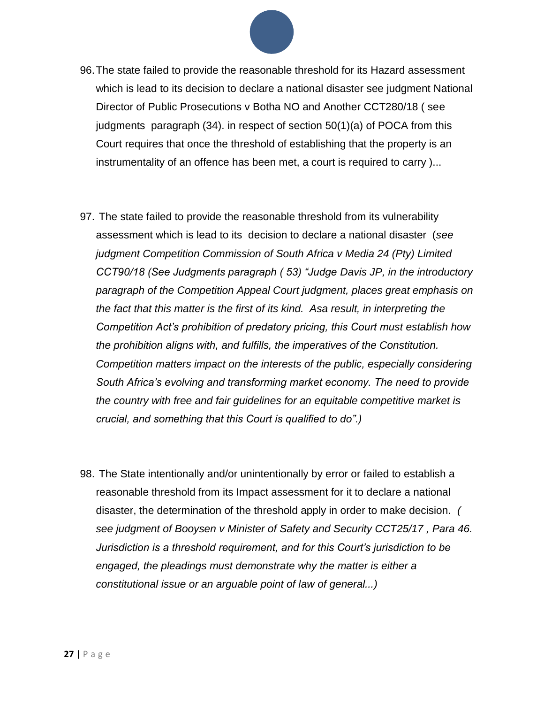

- 96.The state failed to provide the reasonable threshold for its Hazard assessment which is lead to its decision to declare a national disaster see judgment National Director of Public Prosecutions v Botha NO and Another CCT280/18 ( see judgments paragraph (34). in respect of section 50(1)(a) of POCA from this Court requires that once the threshold of establishing that the property is an instrumentality of an offence has been met, a court is required to carry )...
- 97. The state failed to provide the reasonable threshold from its vulnerability assessment which is lead to its decision to declare a national disaster (*see judgment Competition Commission of South Africa v Media 24 (Pty) Limited CCT90/18 (See Judgments paragraph ( 53) "Judge Davis JP, in the introductory paragraph of the Competition Appeal Court judgment, places great emphasis on the fact that this matter is the first of its kind. Asa result, in interpreting the Competition Act's prohibition of predatory pricing, this Court must establish how the prohibition aligns with, and fulfills, the imperatives of the Constitution. Competition matters impact on the interests of the public, especially considering South Africa's evolving and transforming market economy. The need to provide the country with free and fair guidelines for an equitable competitive market is crucial, and something that this Court is qualified to do".)*
- 98. The State intentionally and/or unintentionally by error or failed to establish a reasonable threshold from its Impact assessment for it to declare a national disaster, the determination of the threshold apply in order to make decision. *( see judgment of Booysen v Minister of Safety and Security CCT25/17 , Para 46. Jurisdiction is a threshold requirement, and for this Court's jurisdiction to be engaged, the pleadings must demonstrate why the matter is either a constitutional issue or an arguable point of law of general...)*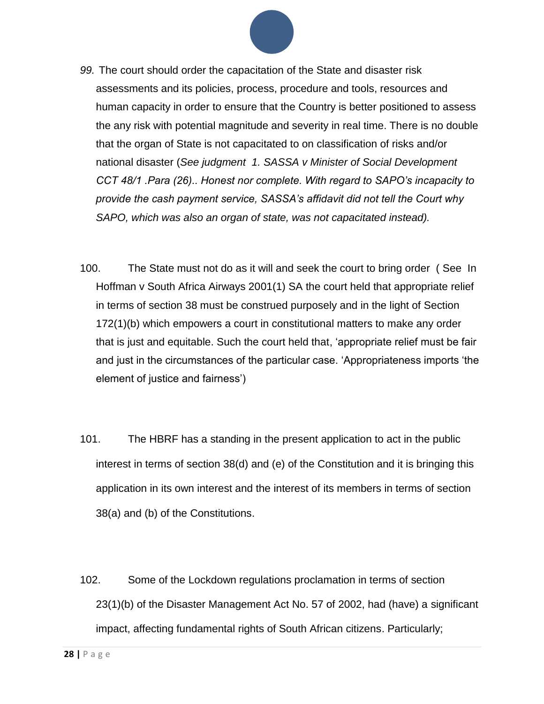

- *99.* The court should order the capacitation of the State and disaster risk assessments and its policies, process, procedure and tools, resources and human capacity in order to ensure that the Country is better positioned to assess the any risk with potential magnitude and severity in real time. There is no double that the organ of State is not capacitated to on classification of risks and/or national disaster (*See judgment 1. SASSA v Minister of Social Development CCT 48/1 .Para (26).. Honest nor complete. With regard to SAPO's incapacity to provide the cash payment service, SASSA's affidavit did not tell the Court why SAPO, which was also an organ of state, was not capacitated instead).*
- 100. The State must not do as it will and seek the court to bring order ( See In Hoffman v South Africa Airways 2001(1) SA the court held that appropriate relief in terms of section 38 must be construed purposely and in the light of Section 172(1)(b) which empowers a court in constitutional matters to make any order that is just and equitable. Such the court held that, 'appropriate relief must be fair and just in the circumstances of the particular case. 'Appropriateness imports 'the element of justice and fairness')
- 101. The HBRF has a standing in the present application to act in the public interest in terms of section 38(d) and (e) of the Constitution and it is bringing this application in its own interest and the interest of its members in terms of section 38(a) and (b) of the Constitutions.
- 102. Some of the Lockdown regulations proclamation in terms of section 23(1)(b) of the Disaster Management Act No. 57 of 2002, had (have) a significant impact, affecting fundamental rights of South African citizens. Particularly;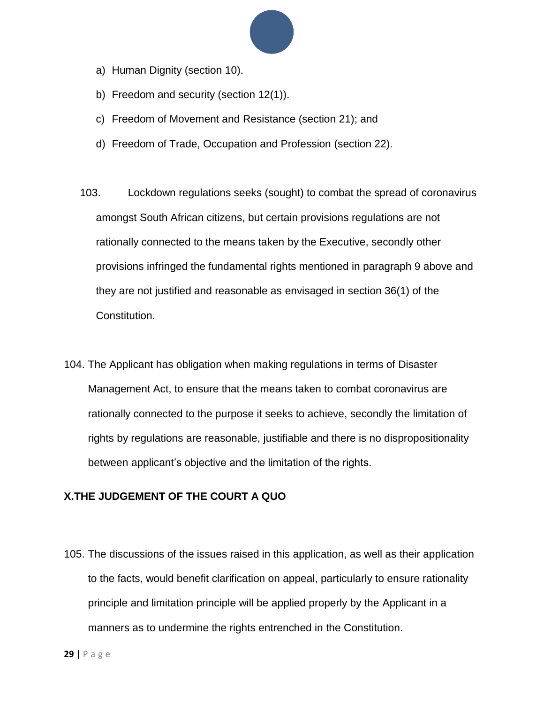

- a) Human Dignity (section 10).
- b) Freedom and security (section 12(1)).
- c) Freedom of Movement and Resistance (section 21); and
- d) Freedom of Trade, Occupation and Profession (section 22).
- 103. Lockdown regulations seeks (sought) to combat the spread of coronavirus amongst South African citizens, but certain provisions regulations are not rationally connected to the means taken by the Executive, secondly other provisions infringed the fundamental rights mentioned in paragraph 9 above and they are not justified and reasonable as envisaged in section 36(1) of the Constitution.
- 104. The Applicant has obligation when making regulations in terms of Disaster Management Act, to ensure that the means taken to combat coronavirus are rationally connected to the purpose it seeks to achieve, secondly the limitation of rights by regulations are reasonable, justifiable and there is no dispropositionality between applicant's objective and the limitation of the rights.

#### **X.THE JUDGEMENT OF THE COURT A QUO**

105. The discussions of the issues raised in this application, as well as their application to the facts, would benefit clarification on appeal, particularly to ensure rationality principle and limitation principle will be applied properly by the Applicant in a manners as to undermine the rights entrenched in the Constitution.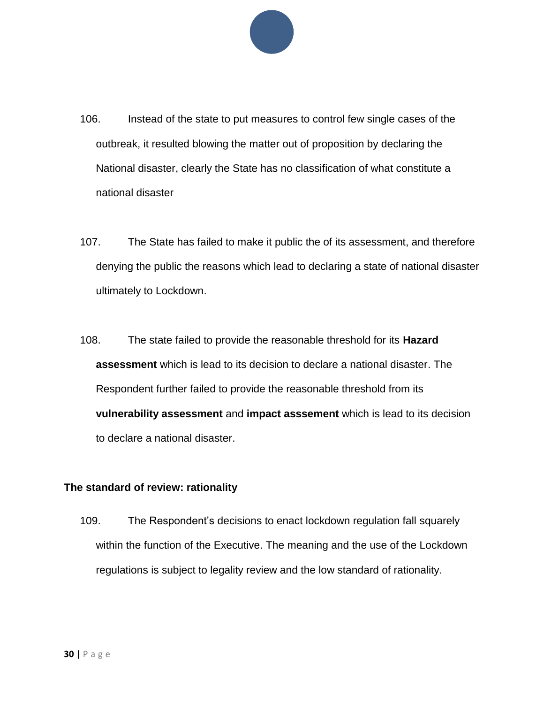

- 106. Instead of the state to put measures to control few single cases of the outbreak, it resulted blowing the matter out of proposition by declaring the National disaster, clearly the State has no classification of what constitute a national disaster
- 107. The State has failed to make it public the of its assessment, and therefore denying the public the reasons which lead to declaring a state of national disaster ultimately to Lockdown.
- 108. The state failed to provide the reasonable threshold for its **Hazard assessment** which is lead to its decision to declare a national disaster. The Respondent further failed to provide the reasonable threshold from its **vulnerability assessment** and **impact asssement** which is lead to its decision to declare a national disaster.

#### **The standard of review: rationality**

109. The Respondent's decisions to enact lockdown regulation fall squarely within the function of the Executive. The meaning and the use of the Lockdown regulations is subject to legality review and the low standard of rationality.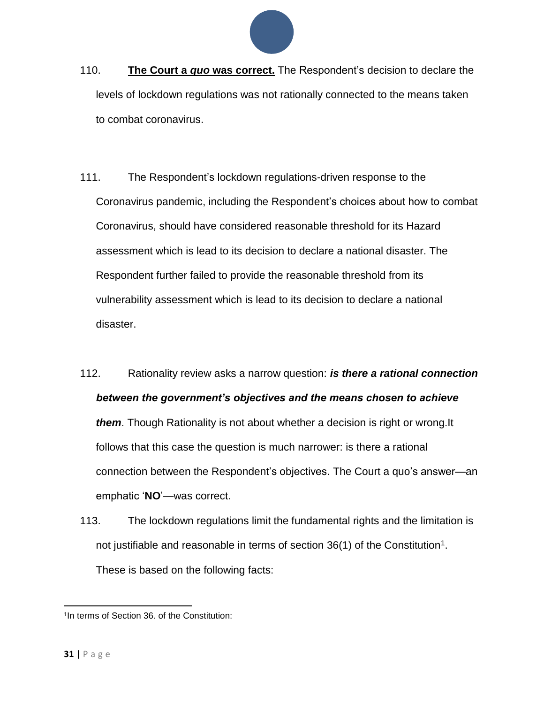

- 110. **The Court a** *quo* **was correct.** The Respondent's decision to declare the levels of lockdown regulations was not rationally connected to the means taken to combat coronavirus.
- 111. The Respondent's lockdown regulations-driven response to the Coronavirus pandemic, including the Respondent's choices about how to combat Coronavirus, should have considered reasonable threshold for its Hazard assessment which is lead to its decision to declare a national disaster. The Respondent further failed to provide the reasonable threshold from its vulnerability assessment which is lead to its decision to declare a national disaster.
- 112. Rationality review asks a narrow question: *is there a rational connection between the government's objectives and the means chosen to achieve them*. Though Rationality is not about whether a decision is right or wrong.It follows that this case the question is much narrower: is there a rational connection between the Respondent's objectives. The Court a quo's answer—an emphatic '**NO**'—was correct.
- 113. The lockdown regulations limit the fundamental rights and the limitation is not justifiable and reasonable in terms of section  $36(1)$  of the Constitution<sup>1</sup>. These is based on the following facts:

l 1 In terms of Section 36. of the Constitution: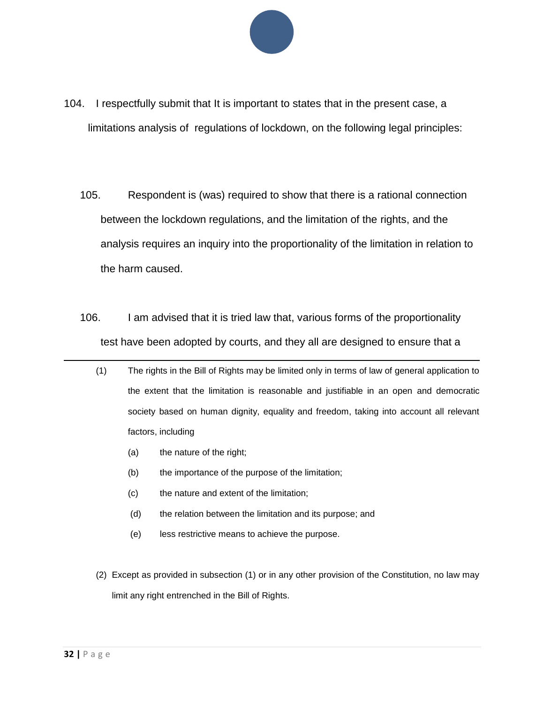

- 104. I respectfully submit that It is important to states that in the present case, a limitations analysis of regulations of lockdown, on the following legal principles:
	- 105. Respondent is (was) required to show that there is a rational connection between the lockdown regulations, and the limitation of the rights, and the analysis requires an inquiry into the proportionality of the limitation in relation to the harm caused.
	- 106. I am advised that it is tried law that, various forms of the proportionality test have been adopted by courts, and they all are designed to ensure that a
		- (1) The rights in the Bill of Rights may be limited only in terms of law of general application to the extent that the limitation is reasonable and justifiable in an open and democratic society based on human dignity, equality and freedom, taking into account all relevant factors, including
			- (a) the nature of the right;
			- (b) the importance of the purpose of the limitation;
			- (c) the nature and extent of the limitation;
			- (d) the relation between the limitation and its purpose; and
			- (e) less restrictive means to achieve the purpose.
		- (2) Except as provided in subsection (1) or in any other provision of the Constitution, no law may limit any right entrenched in the Bill of Rights.

 $\overline{a}$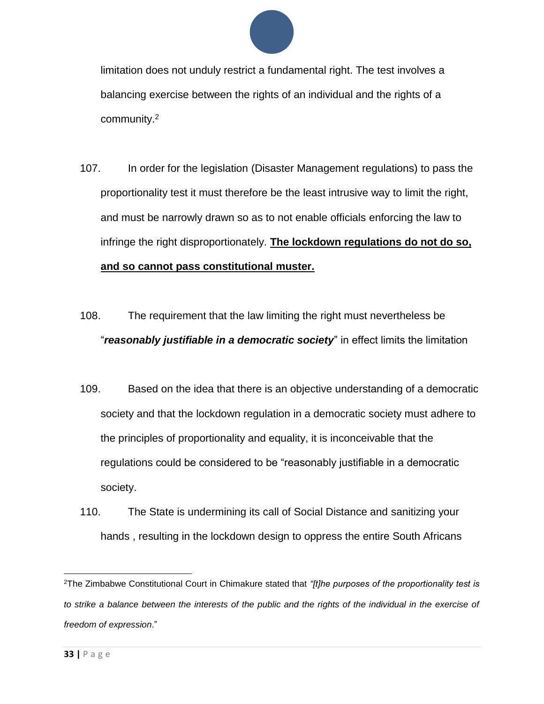

limitation does not unduly restrict a fundamental right. The test involves a balancing exercise between the rights of an individual and the rights of a community.<sup>2</sup>

- 107. In order for the legislation (Disaster Management regulations) to pass the proportionality test it must therefore be the least intrusive way to limit the right, and must be narrowly drawn so as to not enable officials enforcing the law to infringe the right disproportionately. **The lockdown regulations do not do so, and so cannot pass constitutional muster.**
- 108. The requirement that the law limiting the right must nevertheless be "*reasonably justifiable in a democratic society*" in effect limits the limitation
- 109. Based on the idea that there is an objective understanding of a democratic society and that the lockdown regulation in a democratic society must adhere to the principles of proportionality and equality, it is inconceivable that the regulations could be considered to be "reasonably justifiable in a democratic society.
- 110. The State is undermining its call of Social Distance and sanitizing your hands , resulting in the lockdown design to oppress the entire South Africans

l <sup>2</sup>The Zimbabwe Constitutional Court in Chimakure stated that *"[t]he purposes of the proportionality test is*  to strike a balance between the interests of the public and the rights of the individual in the exercise of *freedom of expression*."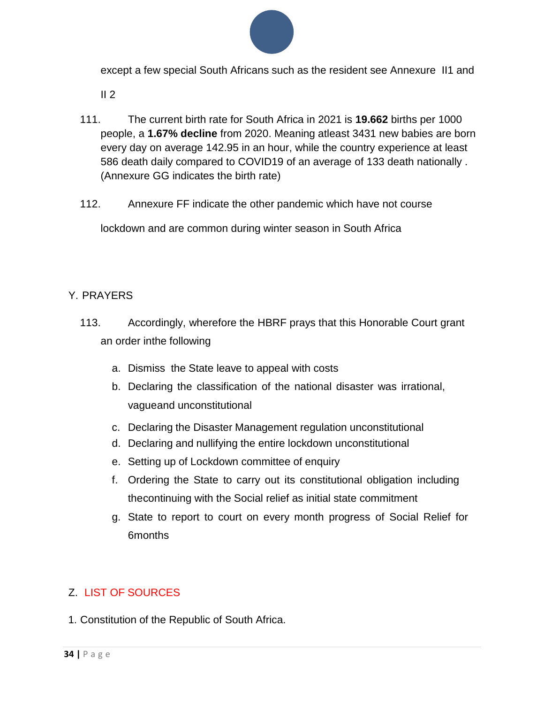

except a few special South Africans such as the resident see Annexure II1 and

 $II<sub>2</sub>$ 

- 111. The current birth rate for South Africa in 2021 is **19.662** births per 1000 people, a **1.67% decline** from 2020. Meaning atleast 3431 new babies are born every day on average 142.95 in an hour, while the country experience at least 586 death daily compared to COVID19 of an average of 133 death nationally . (Annexure GG indicates the birth rate)
- 112. Annexure FF indicate the other pandemic which have not course

lockdown and are common during winter season in South Africa

#### Y. PRAYERS

- 113. Accordingly, wherefore the HBRF prays that this Honorable Court grant an order inthe following
	- a. Dismiss the State leave to appeal with costs
	- b. Declaring the classification of the national disaster was irrational, vagueand unconstitutional
	- c. Declaring the Disaster Management regulation unconstitutional
	- d. Declaring and nullifying the entire lockdown unconstitutional
	- e. Setting up of Lockdown committee of enquiry
	- f. Ordering the State to carry out its constitutional obligation including thecontinuing with the Social relief as initial state commitment
	- g. State to report to court on every month progress of Social Relief for 6months

### Z. LIST OF SOURCES

1. Constitution of the Republic of South Africa.